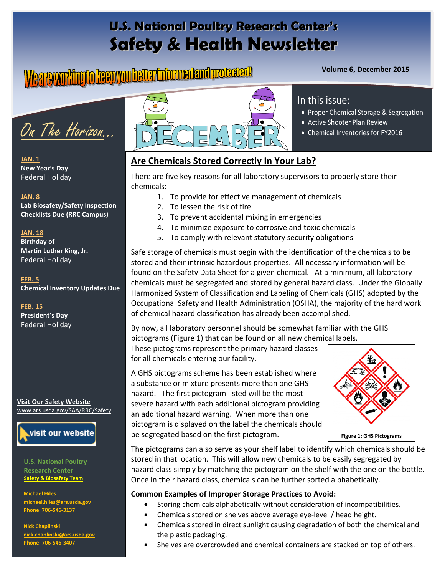## **U.S. National Poultry Research Center's Safety & Health Newsletter**

# **Volume 6, December 2015**



**JAN. 1 New Year's Day** Federal Holiday

#### **JAN. 8**

**Lab Biosafety/Safety Inspection Checklists Due (RRC Campus)**

#### **JAN. 18**

**Birthday of Martin Luther King, Jr.**  Federal Holiday

**FEB. 5 Chemical Inventory Updates Due**

**FEB. 15 President's Day** Federal Holiday

**Visit Our Safety Website**  [www.ars.usda.gov/SAA/RRC/Safety](http://www.ars.usda.gov/SAA/RRC/Safety)



**U.S. National Poultry Research Center Safety & Biosafety Team**

**Michael Hiles [michael.hiles@ars.usda.gov](mailto:michael.hiles@ars.usda.gov)  Phone: 706-546-3137**

**Nick Chaplinski [nick.chaplinski@ars.usda.gov](mailto:nick.chaplinski@ars.usda.gov) Phone: 706-546-3407**



#### In this issue:

- Proper Chemical Storage & Segregation
- Active Shooter Plan Review
- Chemical Inventories for FY2016

#### **Are Chemicals Stored Correctly In Your Lab?**

There are five key reasons for all laboratory supervisors to properly store their chemicals:

- 1. To provide for effective management of chemicals
- 2. To lessen the risk of fire
- 3. To prevent accidental mixing in emergencies
- 4. To minimize exposure to corrosive and toxic chemicals
- 5. To comply with relevant statutory security obligations

Safe storage of chemicals must begin with the identification of the chemicals to be stored and their intrinsic hazardous properties. All necessary information will be found on the Safety Data Sheet for a given chemical. At a minimum, all laboratory chemicals must be segregated and stored by general hazard class. Under the Globally Harmonized System of Classification and Labeling of Chemicals (GHS) adopted by the Occupational Safety and Health Administration (OSHA), the majority of the hard work of chemical hazard classification has already been accomplished.

By now, all laboratory personnel should be somewhat familiar with the GHS pictograms (Figure 1) that can be found on all new chemical labels.

These pictograms represent the primary hazard classes for all chemicals entering our facility.

A GHS pictograms scheme has been established where a substance or mixture presents more than one GHS hazard. The first pictogram listed will be the most severe hazard with each additional pictogram providing an additional hazard warning. When more than one pictogram is displayed on the label the chemicals should be segregated based on the first pictogram.



The pictograms can also serve as your shelf label to identify which chemicals should be stored in that location. This will allow new chemicals to be easily segregated by hazard class simply by matching the pictogram on the shelf with the one on the bottle. Once in their hazard class, chemicals can be further sorted alphabetically.

#### **Common Examples of Improper Storage Practices to Avoid:**

- Storing chemicals alphabetically without consideration of incompatibilities.
- Chemicals stored on shelves above average eye-level / head height.
- Chemicals stored in direct sunlight causing degradation of both the chemical and the plastic packaging.
- Shelves are overcrowded and chemical containers are stacked on top of others.